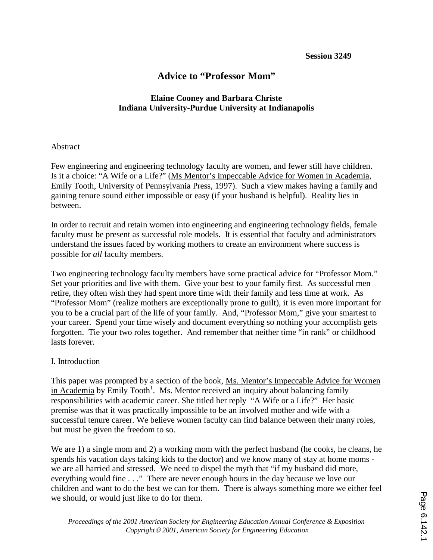# **Advice to "Professor Mom"**

## **Elaine Cooney and Barbara Christe Indiana University-Purdue University at Indianapolis**

### Abstract

Few engineering and engineering technology faculty are women, and fewer still have children. Is it a choice: "A Wife or a Life?" (Ms Mentor's Impeccable Advice for Women in Academia, Emily Tooth, University of Pennsylvania Press, 1997). Such a view makes having a family and gaining tenure sound either impossible or easy (if your husband is helpful). Reality lies in between.

In order to recruit and retain women into engineering and engineering technology fields, female faculty must be present as successful role models. It is essential that faculty and administrators understand the issues faced by working mothers to create an environment where success is possible for *all* faculty members.

Two engineering technology faculty members have some practical advice for "Professor Mom." Set your priorities and live with them. Give your best to your family first. As successful men retire, they often wish they had spent more time with their family and less time at work. As "Professor Mom" (realize mothers are exceptionally prone to guilt), it is even more important for you to be a crucial part of the life of your family. And, "Professor Mom," give your smartest to your career. Spend your time wisely and document everything so nothing your accomplish gets forgotten. Tie your two roles together. And remember that neither time "in rank" or childhood lasts forever.

## I. Introduction

This paper was prompted by a section of the book, Ms. Mentor's Impeccable Advice for Women in Academia by Emily Tooth<sup>1</sup>. Ms. Mentor received an inquiry about balancing family responsibilities with academic career. She titled her reply "A Wife or a Life?" Her basic premise was that it was practically impossible to be an involved mother and wife with a successful tenure career. We believe women faculty can find balance between their many roles, but must be given the freedom to so.

We are 1) a single mom and 2) a working mom with the perfect husband (he cooks, he cleans, he spends his vacation days taking kids to the doctor) and we know many of stay at home moms we are all harried and stressed. We need to dispel the myth that "if my husband did more, everything would fine . . ." There are never enough hours in the day because we love our children and want to do the best we can for them. There is always something more we either feel we should, or would just like to do for them.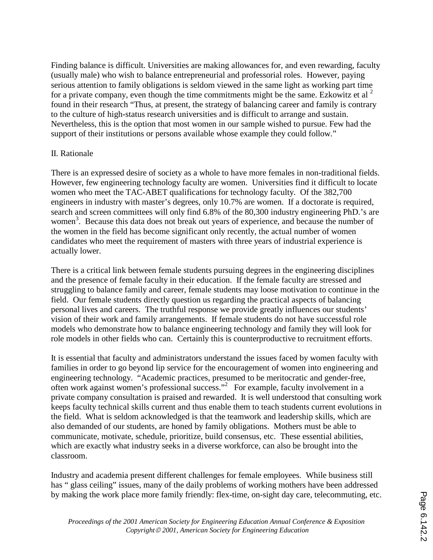Finding balance is difficult. Universities are making allowances for, and even rewarding, faculty (usually male) who wish to balance entrepreneurial and professorial roles. However, paying serious attention to family obligations is seldom viewed in the same light as working part time for a private company, even though the time commitments might be the same. Ezkowitz et al  $<sup>2</sup>$ </sup> found in their research "Thus, at present, the strategy of balancing career and family is contrary to the culture of high-status research universities and is difficult to arrange and sustain. Nevertheless, this is the option that most women in our sample wished to pursue. Few had the support of their institutions or persons available whose example they could follow."

### II. Rationale

There is an expressed desire of society as a whole to have more females in non-traditional fields. However, few engineering technology faculty are women. Universities find it difficult to locate women who meet the TAC-ABET qualifications for technology faculty. Of the 382,700 engineers in industry with master's degrees, only 10.7% are women. If a doctorate is required, search and screen committees will only find 6.8% of the 80,300 industry engineering PhD.'s are women<sup>3</sup>. Because this data does not break out years of experience, and because the number of the women in the field has become significant only recently, the actual number of women candidates who meet the requirement of masters with three years of industrial experience is actually lower.

There is a critical link between female students pursuing degrees in the engineering disciplines and the presence of female faculty in their education. If the female faculty are stressed and struggling to balance family and career, female students may loose motivation to continue in the field. Our female students directly question us regarding the practical aspects of balancing personal lives and careers. The truthful response we provide greatly influences our students' vision of their work and family arrangements. If female students do not have successful role models who demonstrate how to balance engineering technology and family they will look for role models in other fields who can. Certainly this is counterproductive to recruitment efforts.

It is essential that faculty and administrators understand the issues faced by women faculty with families in order to go beyond lip service for the encouragement of women into engineering and engineering technology. "Academic practices, presumed to be meritocratic and gender-free, often work against women's professional success." 2 For example, faculty involvement in a private company consultation is praised and rewarded. It is well understood that consulting work keeps faculty technical skills current and thus enable them to teach students current evolutions in the field. What is seldom acknowledged is that the teamwork and leadership skills, which are also demanded of our students, are honed by family obligations. Mothers must be able to communicate, motivate, schedule, prioritize, build consensus, etc. These essential abilities, which are exactly what industry seeks in a diverse workforce, can also be brought into the classroom.

Industry and academia present different challenges for female employees. While business still has " glass ceiling" issues, many of the daily problems of working mothers have been addressed by making the work place more family friendly: flex-time, on-sight day care, telecommuting, etc.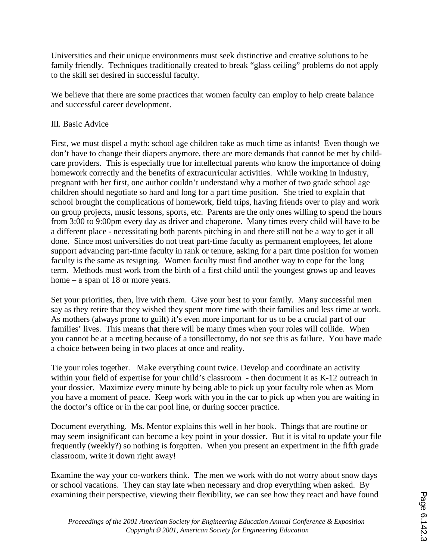Universities and their unique environments must seek distinctive and creative solutions to be family friendly. Techniques traditionally created to break "glass ceiling" problems do not apply to the skill set desired in successful faculty.

We believe that there are some practices that women faculty can employ to help create balance and successful career development.

## III. Basic Advice

First, we must dispel a myth: school age children take as much time as infants! Even though we don't have to change their diapers anymore, there are more demands that cannot be met by childcare providers. This is especially true for intellectual parents who know the importance of doing homework correctly and the benefits of extracurricular activities. While working in industry, pregnant with her first, one author couldn't understand why a mother of two grade school age children should negotiate so hard and long for a part time position. She tried to explain that school brought the complications of homework, field trips, having friends over to play and work on group projects, music lessons, sports, etc. Parents are the only ones willing to spend the hours from 3:00 to 9:00pm every day as driver and chaperone. Many times every child will have to be a different place - necessitating both parents pitching in and there still not be a way to get it all done. Since most universities do not treat part-time faculty as permanent employees, let alone support advancing part-time faculty in rank or tenure, asking for a part time position for women faculty is the same as resigning. Women faculty must find another way to cope for the long term. Methods must work from the birth of a first child until the youngest grows up and leaves home – a span of 18 or more years.

Set your priorities, then, live with them. Give your best to your family. Many successful men say as they retire that they wished they spent more time with their families and less time at work. As mothers (always prone to guilt) it's even more important for us to be a crucial part of our families' lives. This means that there will be many times when your roles will collide. When you cannot be at a meeting because of a tonsillectomy, do not see this as failure. You have made a choice between being in two places at once and reality.

Tie your roles together. Make everything count twice. Develop and coordinate an activity within your field of expertise for your child's classroom - then document it as K-12 outreach in your dossier. Maximize every minute by being able to pick up your faculty role when as Mom you have a moment of peace. Keep work with you in the car to pick up when you are waiting in the doctor's office or in the car pool line, or during soccer practice.

Document everything. Ms. Mentor explains this well in her book. Things that are routine or may seem insignificant can become a key point in your dossier. But it is vital to update your file frequently (weekly?) so nothing is forgotten. When you present an experiment in the fifth grade classroom, write it down right away!

Examine the way your co-workers think. The men we work with do not worry about snow days or school vacations. They can stay late when necessary and drop everything when asked. By examining their perspective, viewing their flexibility, we can see how they react and have found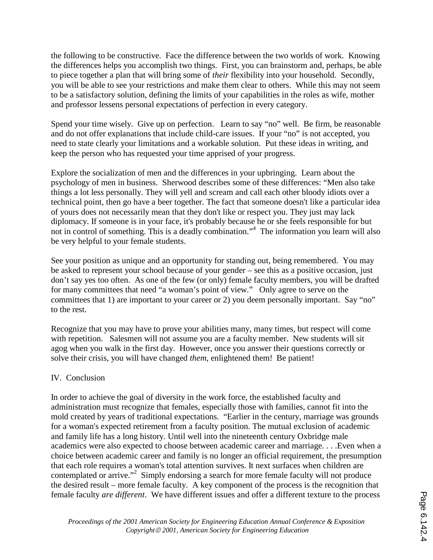the following to be constructive. Face the difference between the two worlds of work. Knowing the differences helps you accomplish two things. First, you can brainstorm and, perhaps, be able to piece together a plan that will bring some of *their* flexibility into your household. Secondly, you will be able to see your restrictions and make them clear to others. While this may not seem to be a satisfactory solution, defining the limits of your capabilities in the roles as wife, mother and professor lessens personal expectations of perfection in every category.

Spend your time wisely. Give up on perfection. Learn to say "no" well. Be firm, be reasonable and do not offer explanations that include child-care issues. If your "no" is not accepted, you need to state clearly your limitations and a workable solution. Put these ideas in writing, and keep the person who has requested your time apprised of your progress.

Explore the socialization of men and the differences in your upbringing. Learn about the psychology of men in business. Sherwood describes some of these differences: "Men also take things a lot less personally. They will yell and scream and call each other bloody idiots over a technical point, then go have a beer together. The fact that someone doesn't like a particular idea of yours does not necessarily mean that they don't like or respect you. They just may lack diplomacy. If someone is in your face, it's probably because he or she feels responsible for but not in control of something. This is a deadly combination." 4 The information you learn will also be very helpful to your female students.

See your position as unique and an opportunity for standing out, being remembered. You may be asked to represent your school because of your gender – see this as a positive occasion, just don't say yes too often. As one of the few (or only) female faculty members, you will be drafted for many committees that need "a woman's point of view." Only agree to serve on the committees that 1) are important to your career or 2) you deem personally important. Say "no" to the rest.

Recognize that you may have to prove your abilities many, many times, but respect will come with repetition. Salesmen will not assume you are a faculty member. New students will sit agog when you walk in the first day. However, once you answer their questions correctly or solve their crisis, you will have changed *them*, enlightened them! Be patient!

## IV. Conclusion

In order to achieve the goal of diversity in the work force, the established faculty and administration must recognize that females, especially those with families, cannot fit into the mold created by years of traditional expectations. "Earlier in the century, marriage was grounds for a woman's expected retirement from a faculty position. The mutual exclusion of academic and family life has a long history. Until well into the nineteenth century Oxbridge male academics were also expected to choose between academic career and marriage. . . .Even when a choice between academic career and family is no longer an official requirement, the presumption that each role requires a woman's total attention survives. It next surfaces when children are contemplated or arrive."<sup>2</sup> Simply endorsing a search for more female faculty will not produce the desired result – more female faculty. A key component of the process is the recognition that female faculty *are different*. We have different issues and offer a different texture to the process